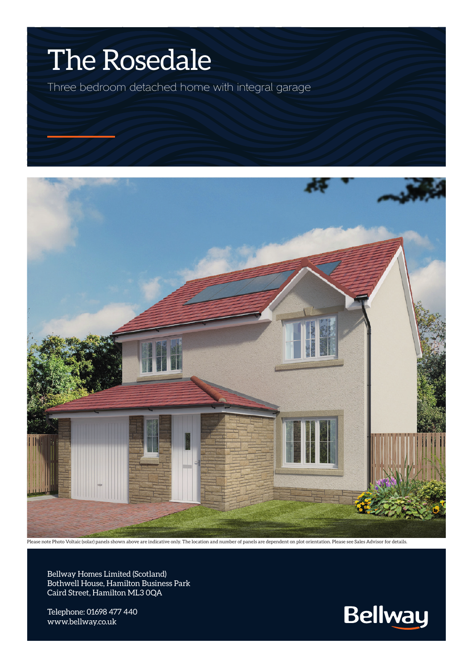## The Rosedale

Three bedroom detached home with integral garage



Please note Photo Voltaic (solar) panels shown above are indicative only. The location and number of panels are dependent on plot orientation. Please see Sales Advisor for details.

Bellway Homes Limited (Scotland) Bothwell House, Hamilton Business Park Caird Street, Hamilton ML3 0QA

Telephone: 01698 477 440 www.bellway.co.uk

**Bellway**